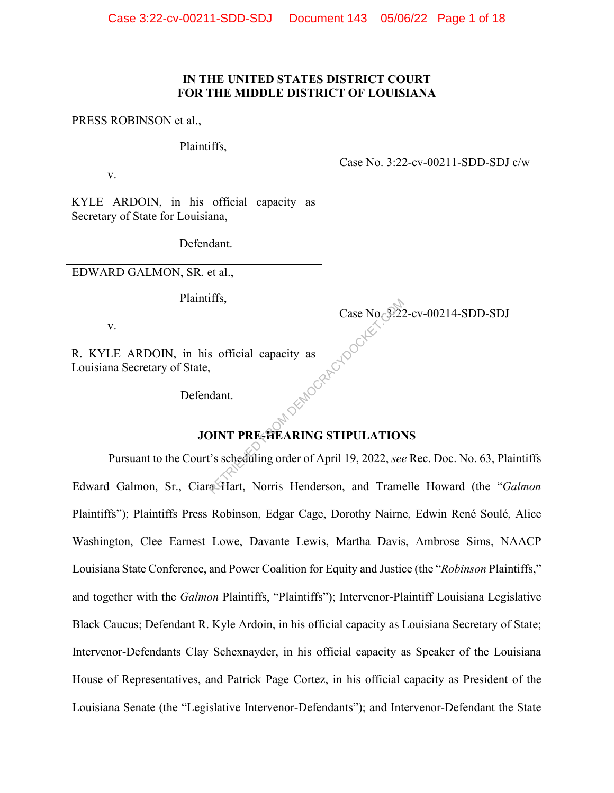#### **IN THE UNITED STATES DISTRICT COURT FOR THE MIDDLE DISTRICT OF LOUISIANA**

PRESS ROBINSON et al.,

Plaintiffs,

v.

KYLE ARDOIN, in his official capacity as Secretary of State for Louisiana,

Defendant.

EDWARD GALMON, SR. et al.,

Plaintiffs,

v.

R. KYLE ARDOIN, in his official capacity as Louisiana Secretary of State,

Defendant.

Case No. 3:22-cv-00211-SDD-SDJ c/w

Case No. 3:22-cv-00214-SDD-SDJ

# **JOINT PRE-HEARING STIPULATIONS**

Pursuant to the Court's scheduling order of April 19, 2022, *see* Rec. Doc. No. 63, Plaintiffs Edward Galmon, Sr., Ciara Hart, Norris Henderson, and Tramelle Howard (the "*Galmon* Plaintiffs"); Plaintiffs Press Robinson, Edgar Cage, Dorothy Nairne, Edwin René Soulé, Alice Washington, Clee Earnest Lowe, Davante Lewis, Martha Davis, Ambrose Sims, NAACP Louisiana State Conference, and Power Coalition for Equity and Justice (the "*Robinson* Plaintiffs," and together with the *Galmon* Plaintiffs, "Plaintiffs"); Intervenor-Plaintiff Louisiana Legislative Black Caucus; Defendant R. Kyle Ardoin, in his official capacity as Louisiana Secretary of State; Intervenor-Defendants Clay Schexnayder, in his official capacity as Speaker of the Louisiana House of Representatives, and Patrick Page Cortez, in his official capacity as President of the Louisiana Senate (the "Legislative Intervenor-Defendants"); and Intervenor-Defendant the State Case No 3.22<br>
So official capacity as<br>
edant.<br>
DINT PRE-HEARING STIPULATION<br>
Case No 3.22<br>
Compared for the STIPULATION<br>
Case No 3.22<br>
Compared for the STIPULATION<br>
Compared for the STIPULATION<br>
Compared for the STIPULATIO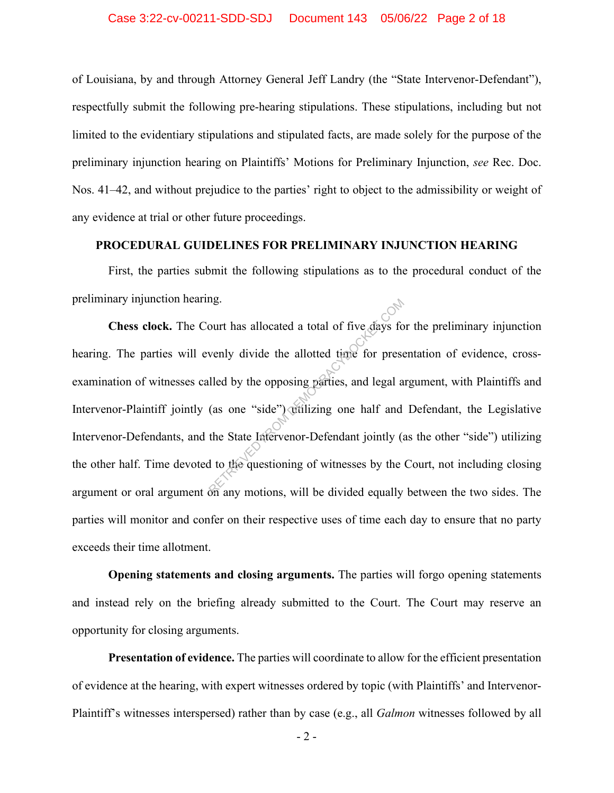of Louisiana, by and through Attorney General Jeff Landry (the "State Intervenor-Defendant"), respectfully submit the following pre-hearing stipulations. These stipulations, including but not limited to the evidentiary stipulations and stipulated facts, are made solely for the purpose of the preliminary injunction hearing on Plaintiffs' Motions for Preliminary Injunction, *see* Rec. Doc. Nos. 41–42, and without prejudice to the parties' right to object to the admissibility or weight of any evidence at trial or other future proceedings.

#### **PROCEDURAL GUIDELINES FOR PRELIMINARY INJUNCTION HEARING**

First, the parties submit the following stipulations as to the procedural conduct of the preliminary injunction hearing.

**Chess clock.** The Court has allocated a total of five days for the preliminary injunction hearing. The parties will evenly divide the allotted time for presentation of evidence, crossexamination of witnesses called by the opposing parties, and legal argument, with Plaintiffs and Intervenor-Plaintiff jointly (as one "side") utilizing one half and Defendant, the Legislative Intervenor-Defendants, and the State Intervenor-Defendant jointly (as the other "side") utilizing the other half. Time devoted to the questioning of witnesses by the Court, not including closing argument or oral argument on any motions, will be divided equally between the two sides. The parties will monitor and confer on their respective uses of time each day to ensure that no party exceeds their time allotment. ourt has allocated a total of five days fo<br>
venly divide the allotted time for press<br>
lled by the opposing parties, and legal a<br>
(as one "side") willizing one half and<br>
the State Istervenor-Defendant jointly (a<br>
divided eq

**Opening statements and closing arguments.** The parties will forgo opening statements and instead rely on the briefing already submitted to the Court. The Court may reserve an opportunity for closing arguments.

**Presentation of evidence.** The parties will coordinate to allow for the efficient presentation of evidence at the hearing, with expert witnesses ordered by topic (with Plaintiffs' and Intervenor-Plaintiff's witnesses interspersed) rather than by case (e.g., all *Galmon* witnesses followed by all

- 2 -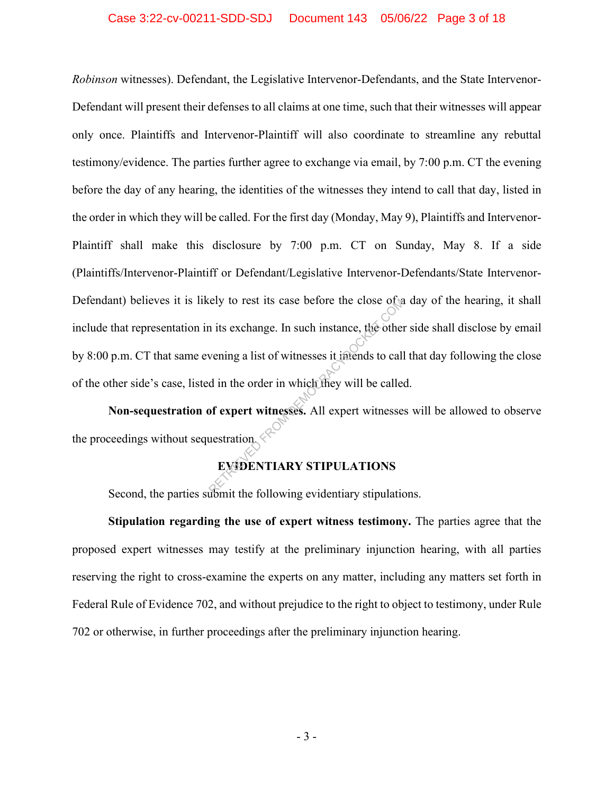*Robinson* witnesses). Defendant, the Legislative Intervenor-Defendants, and the State Intervenor-Defendant will present their defenses to all claims at one time, such that their witnesses will appear only once. Plaintiffs and Intervenor-Plaintiff will also coordinate to streamline any rebuttal testimony/evidence. The parties further agree to exchange via email, by 7:00 p.m. CT the evening before the day of any hearing, the identities of the witnesses they intend to call that day, listed in the order in which they will be called. For the first day (Monday, May 9), Plaintiffs and Intervenor-Plaintiff shall make this disclosure by 7:00 p.m. CT on Sunday, May 8. If a side (Plaintiffs/Intervenor-Plaintiff or Defendant/Legislative Intervenor-Defendants/State Intervenor-Defendant) believes it is likely to rest its case before the close of a day of the hearing, it shall include that representation in its exchange. In such instance, the other side shall disclose by email by 8:00 p.m. CT that same evening a list of witnesses it intends to call that day following the close of the other side's case, listed in the order in which they will be called. Rely to rest its case before the close of a<br>
in its exchange. In such instance, the other<br>
vening a list of witnesses it intends to call<br>
d in the order in which they will be called<br>
of expert witnesses. All expert witness

**Non-sequestration of expert witnesses.** All expert witnesses will be allowed to observe the proceedings without sequestration.

#### **EVIDENTIARY STIPULATIONS**

Second, the parties submit the following evidentiary stipulations.

**Stipulation regarding the use of expert witness testimony.** The parties agree that the proposed expert witnesses may testify at the preliminary injunction hearing, with all parties reserving the right to cross-examine the experts on any matter, including any matters set forth in Federal Rule of Evidence 702, and without prejudice to the right to object to testimony, under Rule 702 or otherwise, in further proceedings after the preliminary injunction hearing.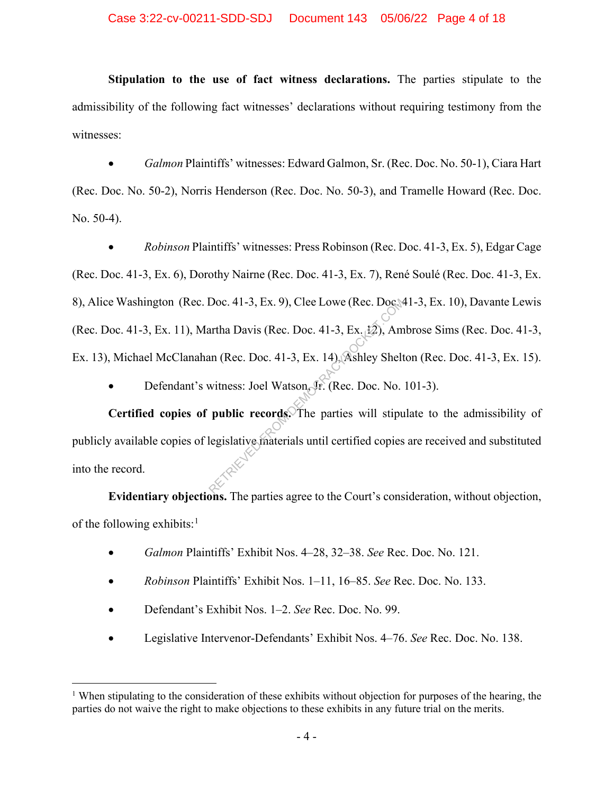**Stipulation to the use of fact witness declarations.** The parties stipulate to the admissibility of the following fact witnesses' declarations without requiring testimony from the witnesses:

• *Galmon* Plaintiffs' witnesses: Edward Galmon, Sr. (Rec. Doc. No. 50-1), Ciara Hart (Rec. Doc. No. 50-2), Norris Henderson (Rec. Doc. No. 50-3), and Tramelle Howard (Rec. Doc. No. 50-4).

• *Robinson* Plaintiffs' witnesses: Press Robinson (Rec. Doc. 41-3, Ex. 5), Edgar Cage (Rec. Doc. 41-3, Ex. 6), Dorothy Nairne (Rec. Doc. 41-3, Ex. 7), René Soulé (Rec. Doc. 41-3, Ex. 8), Alice Washington (Rec. Doc. 41-3, Ex. 9), Clee Lowe (Rec. Doc. 41-3, Ex. 10), Davante Lewis (Rec. Doc. 41-3, Ex. 11), Martha Davis (Rec. Doc. 41-3, Ex. 12), Ambrose Sims (Rec. Doc. 41-3, Ex. 13), Michael McClanahan (Rec. Doc. 41-3, Ex. 14), Ashley Shelton (Rec. Doc. 41-3, Ex. 15). Doc. 41-3, Ex. 9), Clee Lowe (Rec. Doc.)<br>artha Davis (Rec. Doc. 41-3, Ex. 12), Am<br>an (Rec. Doc. 41-3, Ex. 14), Ashley Shelt<br>witness: Joel Watson, Jr. (Rec. Doc. No.<br>**public records.** The parties will stipule<br>degislative ma

Defendant's witness: Joel Watson, Jr. (Rec. Doc. No. 101-3).

**Certified copies of public records.** The parties will stipulate to the admissibility of publicly available copies of legislative materials until certified copies are received and substituted into the record.

**Evidentiary objections.** The parties agree to the Court's consideration, without objection, of the following exhibits: $<sup>1</sup>$ </sup>

- *Galmon* Plaintiffs' Exhibit Nos. 4–28, 32–38. *See* Rec. Doc. No. 121.
- *Robinson* Plaintiffs' Exhibit Nos. 1–11, 16–85. *See* Rec. Doc. No. 133.
- Defendant's Exhibit Nos. 1–2. *See* Rec. Doc. No. 99.
- Legislative Intervenor-Defendants' Exhibit Nos. 4–76. *See* Rec. Doc. No. 138.

<sup>&</sup>lt;sup>1</sup> When stipulating to the consideration of these exhibits without objection for purposes of the hearing, the parties do not waive the right to make objections to these exhibits in any future trial on the merits.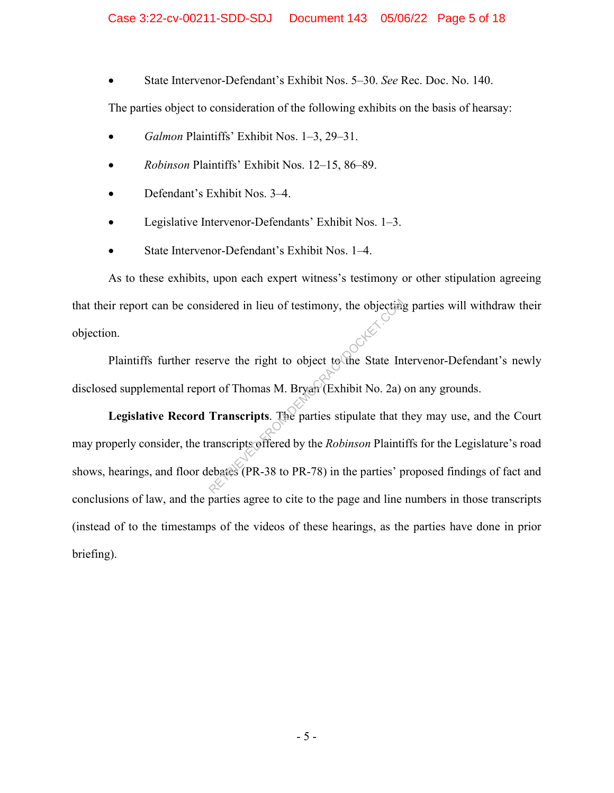• State Intervenor-Defendant's Exhibit Nos. 5–30. *See* Rec. Doc. No. 140.

The parties object to consideration of the following exhibits on the basis of hearsay:

- *Galmon* Plaintiffs' Exhibit Nos. 1–3, 29–31.
- *Robinson* Plaintiffs' Exhibit Nos. 12–15, 86–89.
- Defendant's Exhibit Nos. 3–4.
- Legislative Intervenor-Defendants' Exhibit Nos. 1–3.
- State Intervenor-Defendant's Exhibit Nos. 1–4.

As to these exhibits, upon each expert witness's testimony or other stipulation agreeing that their report can be considered in lieu of testimony, the objecting parties will withdraw their objection.

Plaintiffs further reserve the right to object to the State Intervenor-Defendant's newly disclosed supplemental report of Thomas M. Bryan (Exhibit No. 2a) on any grounds.

**Legislative Record Transcripts**. The parties stipulate that they may use, and the Court may properly consider, the transcripts offered by the *Robinson* Plaintiffs for the Legislature's road shows, hearings, and floor debates (PR-38 to PR-78) in the parties' proposed findings of fact and conclusions of law, and the parties agree to cite to the page and line numbers in those transcripts (instead of to the timestamps of the videos of these hearings, as the parties have done in prior briefing). idered in lieu of testimony, the objecting<br>erve the right to object to the State In<br>rt of Thomas M. Bryan (Exhibit No. 2a)<br>**Transcripts**. The parties stipulate that t<br>ranscripts offered by the *Robinson* Plainti<br>ebates (PR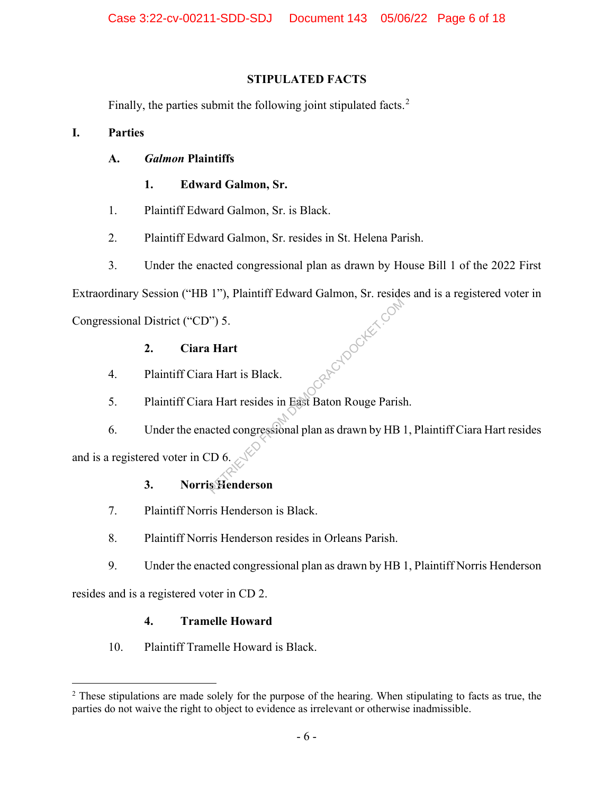### **STIPULATED FACTS**

Finally, the parties submit the following joint stipulated facts.<sup>2</sup>

### **I. Parties**

### **A.** *Galmon* **Plaintiffs**

### **1. Edward Galmon, Sr.**

- 1. Plaintiff Edward Galmon, Sr. is Black.
- 2. Plaintiff Edward Galmon, Sr. resides in St. Helena Parish.
- 3. Under the enacted congressional plan as drawn by House Bill 1 of the 2022 First

Extraordinary Session ("HB 1"), Plaintiff Edward Galmon, Sr. resides and is a registered voter in Republican Com

Congressional District ("CD") 5.

### **2. Ciara Hart**

- 4. Plaintiff Ciara Hart is Black.
- 5. Plaintiff Ciara Hart resides in East Baton Rouge Parish.

6. Under the enacted congressional plan as drawn by HB 1, Plaintiff Ciara Hart resides and is a registered voter in CD 6.

### **3. Norris Henderson**

- 7. Plaintiff Norris Henderson is Black.
- 8. Plaintiff Norris Henderson resides in Orleans Parish.
- 9. Under the enacted congressional plan as drawn by HB 1, Plaintiff Norris Henderson

resides and is a registered voter in CD 2.

### **4. Tramelle Howard**

10. Plaintiff Tramelle Howard is Black.

<sup>&</sup>lt;sup>2</sup> These stipulations are made solely for the purpose of the hearing. When stipulating to facts as true, the parties do not waive the right to object to evidence as irrelevant or otherwise inadmissible.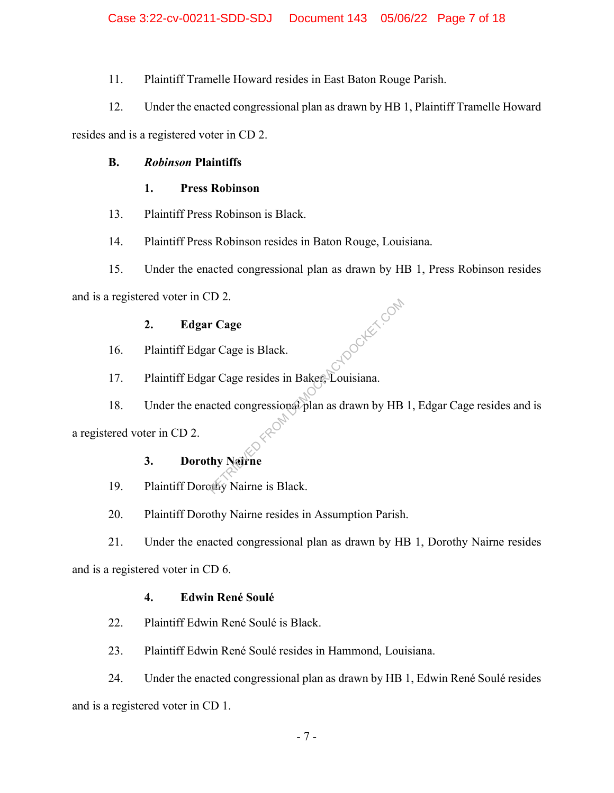11. Plaintiff Tramelle Howard resides in East Baton Rouge Parish.

12. Under the enacted congressional plan as drawn by HB 1, Plaintiff Tramelle Howard

resides and is a registered voter in CD 2.

## **B.** *Robinson* **Plaintiffs**

## **1. Press Robinson**

- 13. Plaintiff Press Robinson is Black.
- 14. Plaintiff Press Robinson resides in Baton Rouge, Louisiana.
- 15. Under the enacted congressional plan as drawn by HB 1, Press Robinson resides

and is a registered voter in CD 2.

## **2. Edgar Cage**

- 16. Plaintiff Edgar Cage is Black.
- 17. Plaintiff Edgar Cage resides in Baker, Louisiana. **H** TOOKET COM
- 18. Under the enacted congressional plan as drawn by HB 1, Edgar Cage resides and is

a registered voter in CD 2.

# **3. Dorothy Nairne**

- 19. Plaintiff Dorothy Nairne is Black.
- 20. Plaintiff Dorothy Nairne resides in Assumption Parish.

21. Under the enacted congressional plan as drawn by HB 1, Dorothy Nairne resides

and is a registered voter in CD 6.

### **4. Edwin René Soulé**

- 22. Plaintiff Edwin René Soulé is Black.
- 23. Plaintiff Edwin René Soulé resides in Hammond, Louisiana.

24. Under the enacted congressional plan as drawn by HB 1, Edwin René Soulé resides and is a registered voter in CD 1.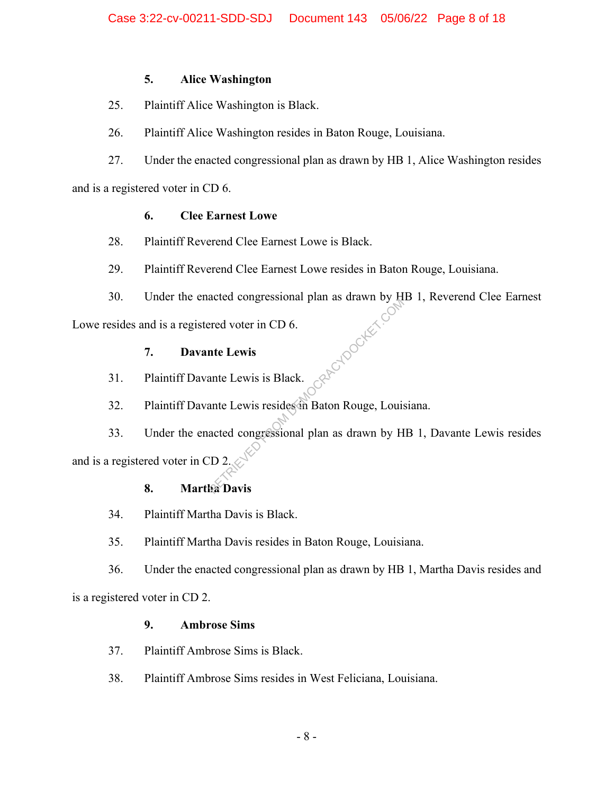### **5. Alice Washington**

- 25. Plaintiff Alice Washington is Black.
- 26. Plaintiff Alice Washington resides in Baton Rouge, Louisiana.
- 27. Under the enacted congressional plan as drawn by HB 1, Alice Washington resides

and is a registered voter in CD 6.

### **6. Clee Earnest Lowe**

- 28. Plaintiff Reverend Clee Earnest Lowe is Black.
- 29. Plaintiff Reverend Clee Earnest Lowe resides in Baton Rouge, Louisiana.
- 30. Under the enacted congressional plan as drawn by HB 1, Reverend Clee Earnest Rendocker.co

Lowe resides and is a registered voter in CD 6.

### **7. Davante Lewis**

- 31. Plaintiff Davante Lewis is Black.
- 32. Plaintiff Davante Lewis resides in Baton Rouge, Louisiana.

33. Under the enacted congressional plan as drawn by HB 1, Davante Lewis resides and is a registered voter in CD 2.

### **8. Martha Davis**

- 34. Plaintiff Martha Davis is Black.
- 35. Plaintiff Martha Davis resides in Baton Rouge, Louisiana.

36. Under the enacted congressional plan as drawn by HB 1, Martha Davis resides and is a registered voter in CD 2.

### **9. Ambrose Sims**

- 37. Plaintiff Ambrose Sims is Black.
- 38. Plaintiff Ambrose Sims resides in West Feliciana, Louisiana.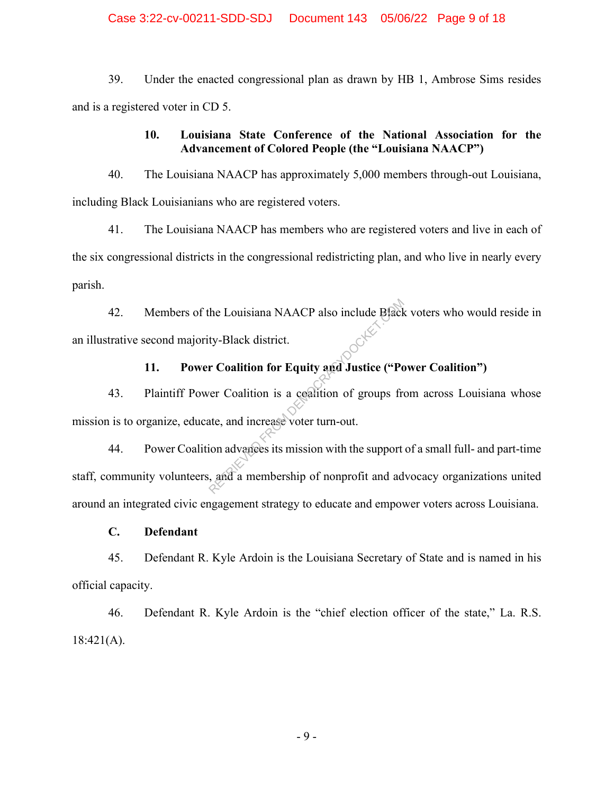#### Case 3:22-cv-00211-SDD-SDJ Document 143 05/06/22 Page 9 of 18

39. Under the enacted congressional plan as drawn by HB 1, Ambrose Sims resides and is a registered voter in CD 5.

### **10. Louisiana State Conference of the National Association for the Advancement of Colored People (the "Louisiana NAACP")**

40. The Louisiana NAACP has approximately 5,000 members through-out Louisiana, including Black Louisianians who are registered voters.

41. The Louisiana NAACP has members who are registered voters and live in each of the six congressional districts in the congressional redistricting plan, and who live in nearly every parish.

42. Members of the Louisiana NAACP also include Black voters who would reside in an illustrative second majority-Black district.

# **11. Power Coalition for Equity and Justice ("Power Coalition")**

43. Plaintiff Power Coalition is a coalition of groups from across Louisiana whose mission is to organize, educate, and increase voter turn-out.

44. Power Coalition advances its mission with the support of a small full- and part-time staff, community volunteers, and a membership of nonprofit and advocacy organizations united around an integrated civic engagement strategy to educate and empower voters across Louisiana. ty-Black district.<br> **Coalition for Equity and Justice ("Portion for Equity and Justice ("Portion Coalition is a coalition of groups from the experience where<br>
the and increase voter turn-out.<br>
Signal discusses its mission** 

#### **C. Defendant**

45. Defendant R. Kyle Ardoin is the Louisiana Secretary of State and is named in his official capacity.

46. Defendant R. Kyle Ardoin is the "chief election officer of the state," La. R.S.  $18:421(A)$ .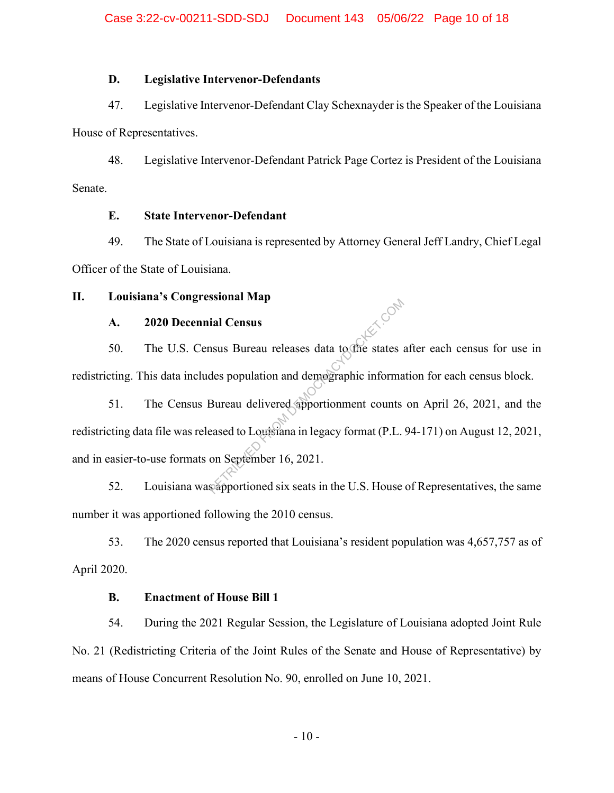#### **D. Legislative Intervenor-Defendants**

47. Legislative Intervenor-Defendant Clay Schexnayder is the Speaker of the Louisiana

House of Representatives.

48. Legislative Intervenor-Defendant Patrick Page Cortez is President of the Louisiana Senate.

#### **E. State Intervenor-Defendant**

49. The State of Louisiana is represented by Attorney General Jeff Landry, Chief Legal Officer of the State of Louisiana.

#### **II. Louisiana's Congressional Map**

### **A. 2020 Decennial Census**

50. The U.S. Census Bureau releases data to the states after each census for use in redistricting. This data includes population and demographic information for each census block.

51. The Census Bureau delivered apportionment counts on April 26, 2021, and the redistricting data file was released to Louisiana in legacy format (P.L. 94-171) on August 12, 2021, and in easier-to-use formats on September 16, 2021. ial Census<br>
nsus Bureau releases data to the states and<br>
des population and demographic informa<br>
Bureau delivered apportionment counts<br>
eased to Louisiana in legacy format (P.L.<br>
on September 16, 2021.<br>
scapportioned six s

52. Louisiana was apportioned six seats in the U.S. House of Representatives, the same number it was apportioned following the 2010 census.

53. The 2020 census reported that Louisiana's resident population was 4,657,757 as of April 2020.

#### **B. Enactment of House Bill 1**

54. During the 2021 Regular Session, the Legislature of Louisiana adopted Joint Rule No. 21 (Redistricting Criteria of the Joint Rules of the Senate and House of Representative) by means of House Concurrent Resolution No. 90, enrolled on June 10, 2021.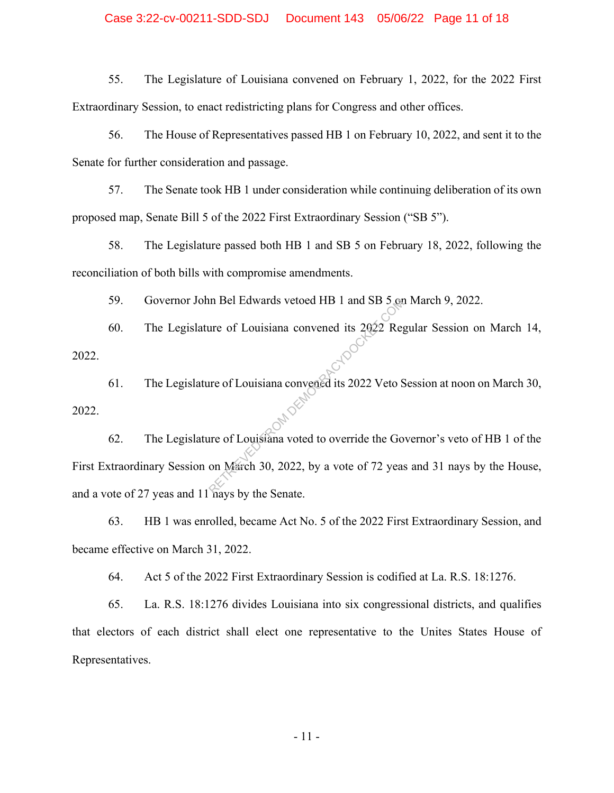#### Case 3:22-cv-00211-SDD-SDJ Document 143 05/06/22 Page 11 of 18

55. The Legislature of Louisiana convened on February 1, 2022, for the 2022 First Extraordinary Session, to enact redistricting plans for Congress and other offices.

56. The House of Representatives passed HB 1 on February 10, 2022, and sent it to the Senate for further consideration and passage.

57. The Senate took HB 1 under consideration while continuing deliberation of its own proposed map, Senate Bill 5 of the 2022 First Extraordinary Session ("SB 5").

58. The Legislature passed both HB 1 and SB 5 on February 18, 2022, following the reconciliation of both bills with compromise amendments.

59. Governor John Bel Edwards vetoed HB 1 and SB 5 on March 9, 2022.

60. The Legislature of Louisiana convened its 2022 Regular Session on March 14, 2022.

61. The Legislature of Louisiana convened its 2022 Veto Session at noon on March 30, 2022. 62. The Legislature of Louisiana voted to override the Governor's veto of HB 1 of the

First Extraordinary Session on March 30, 2022, by a vote of 72 yeas and 31 nays by the House, and a vote of 27 yeas and 11 nays by the Senate. The Bell Edwards vetoed HB 1 and SB 5 or<br>the of Louisiana convened its 2022 Reg<br>the of Louisiana convened its 2022 Veto S<br>the original voted to override the Go<br>on March 30, 2022, by a vote of 72 year<br>the Sonata

63. HB 1 was enrolled, became Act No. 5 of the 2022 First Extraordinary Session, and became effective on March 31, 2022.

64. Act 5 of the 2022 First Extraordinary Session is codified at La. R.S. 18:1276.

65. La. R.S. 18:1276 divides Louisiana into six congressional districts, and qualifies that electors of each district shall elect one representative to the Unites States House of Representatives.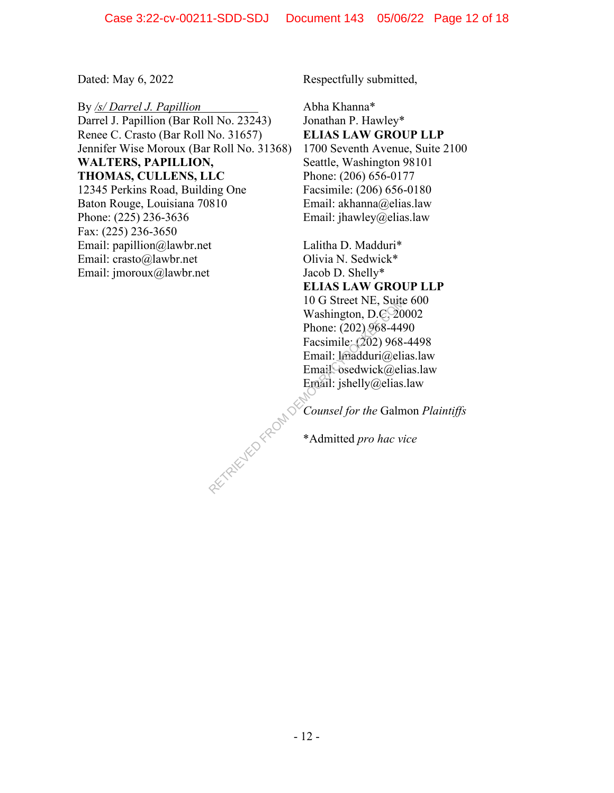By */s/ Darrel J. Papillion* Darrel J. Papillion (Bar Roll No. 23243) Renee C. Crasto (Bar Roll No. 31657) Jennifer Wise Moroux (Bar Roll No. 31368) **WALTERS, PAPILLION, THOMAS, CULLENS, LLC** 12345 Perkins Road, Building One Baton Rouge, Louisiana 70810 Phone: (225) 236-3636 Fax: (225) 236-3650 Email: papillion@lawbr.net Email: crasto@lawbr.net Email: jmoroux@lawbr.net

Dated: May 6, 2022 Respectfully submitted,

Abha Khanna\* Jonathan P. Hawley\* **ELIAS LAW GROUP LLP** 1700 Seventh Avenue, Suite 2100 Seattle, Washington 98101 Phone: (206) 656-0177 Facsimile: (206) 656-0180 Email: akhanna@elias.law Email: jhawley@elias.law

Lalitha D. Madduri\* Olivia N. Sedwick\* Jacob D. Shelly\* **ELIAS LAW GROUP LLP** 10 G Street NE, Suite 600 Washington, D.C. 20002 Phone: (202) 968-4490 Facsimile: (202) 968-4498 Email: lmadduri@elias.law Email<sup>O</sup>sedwick@elias.law Email: jshelly@elias.law

*Counsel for the* Galmon *Plaintiffs* RETRIEVED FROM DE

\*Admitted *pro hac vice*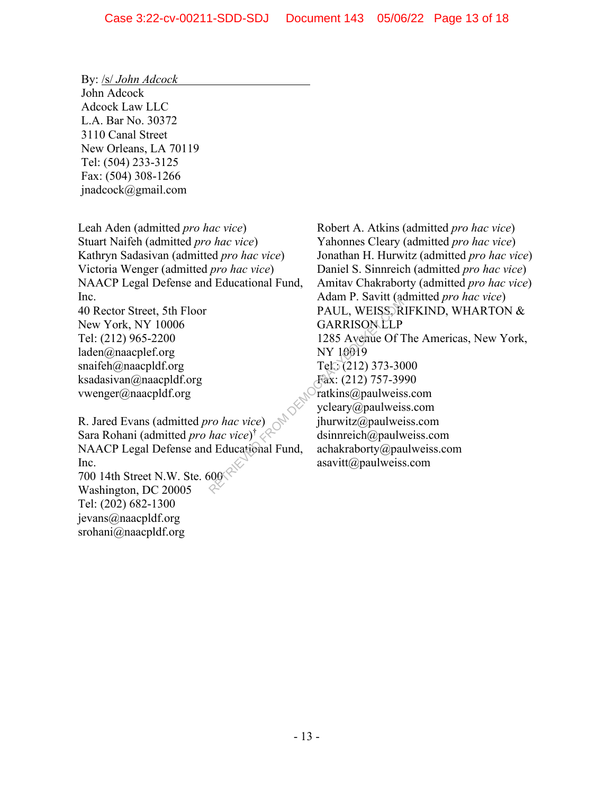By: /s/ *John Adcock* John Adcock Adcock Law LLC L.A. Bar No. 30372 3110 Canal Street New Orleans, LA 70119 Tel: (504) 233-3125 Fax: (504) 308-1266 jnadcock@gmail.com

Leah Aden (admitted *pro hac vice*) Stuart Naifeh (admitted *pro hac vice*) Kathryn Sadasivan (admitted *pro hac vice*) Victoria Wenger (admitted *pro hac vice*) NAACP Legal Defense and Educational Fund, Inc. 40 Rector Street, 5th Floor

New York, NY 10006 Tel: (212) 965-2200 laden@naacplef.org snaifeh@naacpldf.org ksadasivan@naacpldf.org vwenger@naacpldf.org

R. Jared Evans (admitted *pro hac vice*) Sara Rohani (admitted *pro hac vice*) † NAACP Legal Defense and Educational Fund, Inc. 700 14th Street N.W. Ste. 600 Washington, DC 20005 Tel: (202) 682-1300 jevans@naacpldf.org srohani@naacpldf.org

Robert A. Atkins (admitted *pro hac vice*) Yahonnes Cleary (admitted *pro hac vice*) Jonathan H. Hurwitz (admitted *pro hac vice*) Daniel S. Sinnreich (admitted *pro hac vice*) Amitav Chakraborty (admitted *pro hac vice*) Adam P. Savitt (admitted *pro hac vice*) PAUL, WEISS, RIFKIND, WHARTON & **GARRISON LLP** 1285 Avenue Of The Americas, New York, NY 10019 Tel.: (212) 373-3000 Fax: (212) 757-3990 ratkins@paulweiss.com ycleary@paulweiss.com jhurwitz@paulweiss.com dsinnreich@paulweiss.com achakraborty@paulweiss.com asavitt@paulweiss.com Franch PAUL, WEISS, R<br>
PAUL, WEISS, R<br>
GARRISON LLP<br>
1285 Avenue Of T<br>
NY 10019<br>
Tel.; (212) 373-30<br>
Fax: (212) 757-39<br>
Fax: (212) 757-39<br>
ratkins@paulweis<br>
ycleary@paulweis<br>
ycleary@paulweis<br>
ycleary@paulweis<br>
ycleary@pau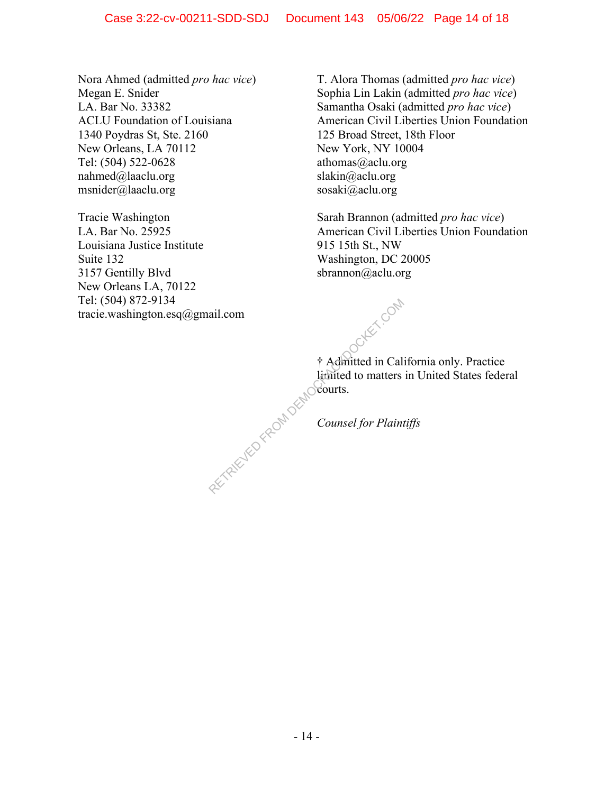Nora Ahmed (admitted *pro hac vice*) Megan E. Snider LA. Bar No. 33382 ACLU Foundation of Louisiana 1340 Poydras St, Ste. 2160 New Orleans, LA 70112 Tel: (504) 522-0628 nahmed@laaclu.org msnider@laaclu.org

Tracie Washington LA. Bar No. 25925 Louisiana Justice Institute Suite 132 3157 Gentilly Blvd New Orleans LA, 70122 Tel: (504) 872-9134 tracie.washington.esq@gmail.com T. Alora Thomas (admitted *pro hac vice*) Sophia Lin Lakin (admitted *pro hac vice*) Samantha Osaki (admitted *pro hac vice*) American Civil Liberties Union Foundation 125 Broad Street, 18th Floor New York, NY 10004 athomas@aclu.org slakin@aclu.org sosaki@aclu.org

Sarah Brannon (admitted *pro hac vice*) American Civil Liberties Union Foundation 915 15th St., NW Washington, DC 20005 sbrannon@aclu.org

† Admitted in California only. Practice limited to matters in United States federal courts. ail.com<br>
<del>† Admitted</del> in Cal.<br>
limited to matters<br>
Counsel for Plain

*Counsel for Plaintiffs*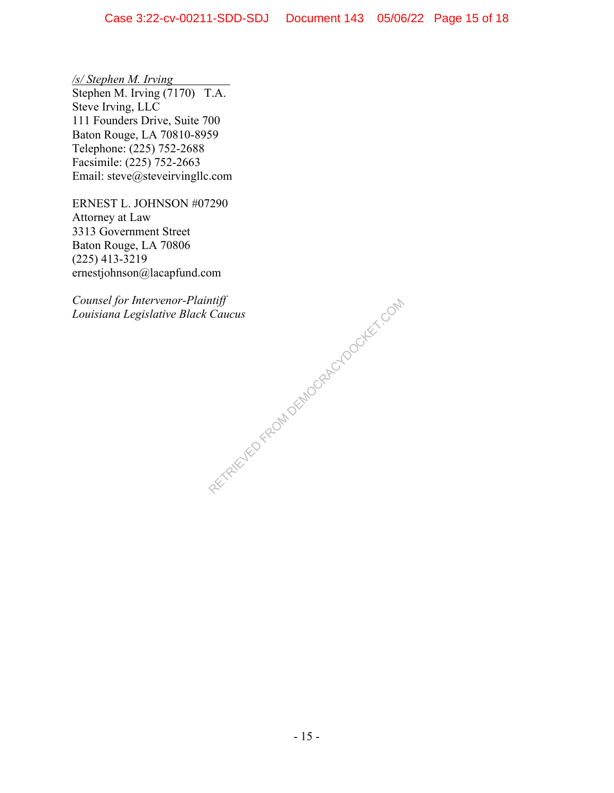*/s/ Stephen M. Irving*  Stephen M. Irving (7170) T.A. Steve Irving, LLC 111 Founders Drive, Suite 700 Baton Rouge, LA 70810-8959 Telephone: (225) 752-2688 Facsimile: (225) 752-2663 Email: steve@steveirvingllc.com

ERNEST L. JOHNSON #07290 Attorney at Law 3313 Government Street Baton Rouge, LA 70806 (225) 413-3219 ernestjohnson@lacapfund.com

*Counsel for Intervenor-Plaintiff Louisiana Legislative Black Caucus* 

RETRIEVED FROM DEMOCRACYDOCKET.COM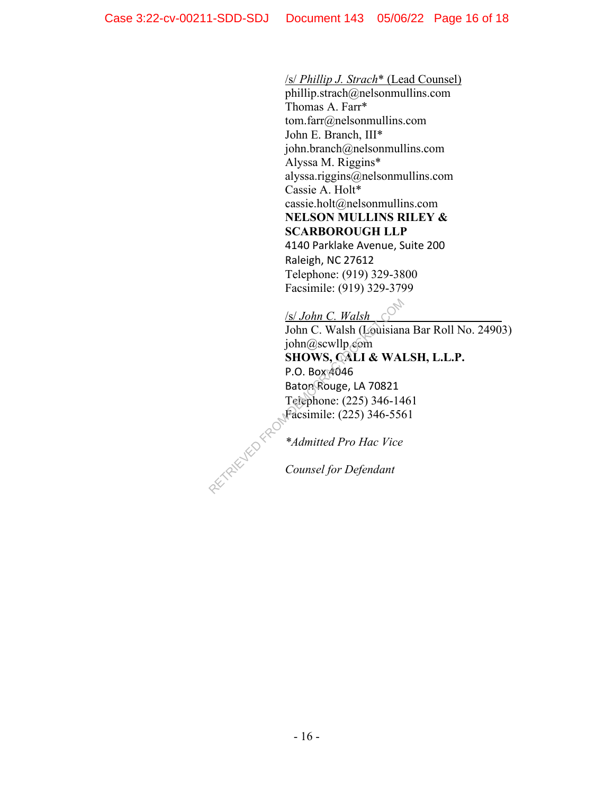### /s/ *Phillip J. Strach*\* (Lead Counsel)

phillip.strach@nelsonmullins.com Thomas A. Farr\* tom.farr@nelsonmullins.com John E. Branch, III\* john.branch@nelsonmullins.com Alyssa M. Riggins\* alyssa.riggins@nelsonmullins.com Cassie A. Holt\* cassie.holt@nelsonmullins.com **NELSON MULLINS RILEY & SCARBOROUGH LLP**

4140 Parklake Avenue, Suite 200 Raleigh, NC 27612 Telephone: (919) 329-3800 Facsimile: (919) 329-3799

/s/ *John C. Walsh*

John C. Walsh (Louisiana Bar Roll No. 24903) john@scwllp.com **SHOWS, CALI & WALSH, L.L.P.**  P.O. Box 4046 Baton Rouge, LA 70821 Telephone: (225) 346-1461 Facsimile: (225) 346-5561

*\*Admitted Pro Hac Vice*

*Counsel for Defendant*  RETRIEVED FROM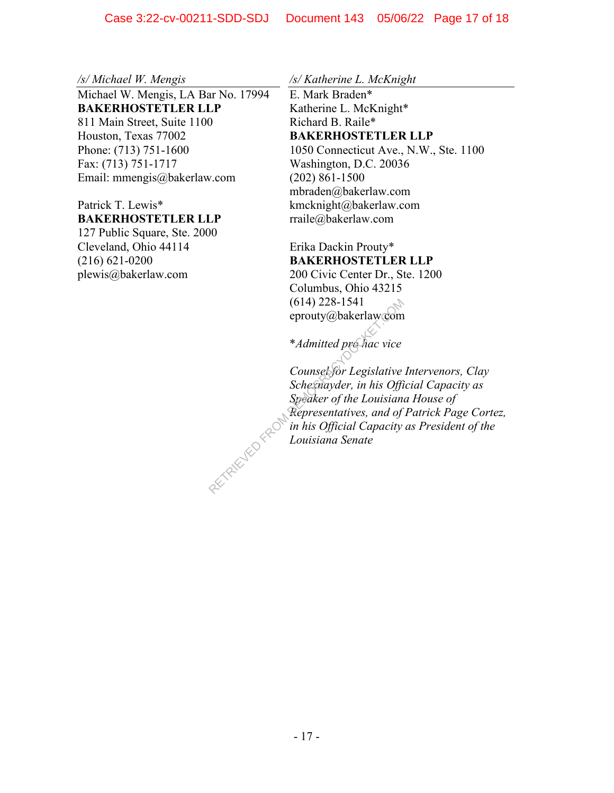*/s/ Michael W. Mengis* 

Michael W. Mengis, LA Bar No. 17994 **BAKERHOSTETLER LLP**  811 Main Street, Suite 1100 Houston, Texas 77002 Phone: (713) 751-1600 Fax: (713) 751-1717 Email: mmengis@bakerlaw.com

#### Patrick T. Lewis\* **BAKERHOSTETLER LLP**

127 Public Square, Ste. 2000 Cleveland, Ohio 44114 (216) 621-0200 plewis@bakerlaw.com

*/s/ Katherine L. McKnight* 

E. Mark Braden\* Katherine L. McKnight\* Richard B. Raile\* **BAKERHOSTETLER LLP**  1050 Connecticut Ave., N.W., Ste. 1100 Washington, D.C. 20036 (202) 861-1500 mbraden@bakerlaw.com kmcknight@bakerlaw.com rraile@bakerlaw.com

Erika Dackin Prouty\* **BAKERHOSTETLER LLP**  200 Civic Center Dr., Ste. 1200 Columbus, Ohio 43215 (614) 228-1541 eprouty@bakerlaw.com

\**Admitted pro hac vice* 

*Counsel for Legislative Intervenors, Clay Schexnayder, in his Official Capacity as Speaker of the Louisiana House of Representatives, and of Patrick Page Cortez, in his Official Capacity as President of the Louisiana Senate* 

RETRIEVED FF